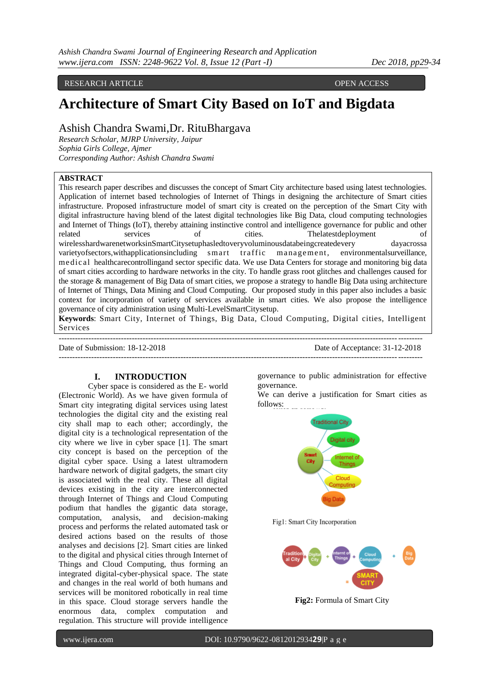## RESEARCH ARTICLE **CONSERVERS** OPEN ACCESS

# **Architecture of Smart City Based on IoT and Bigdata**

Ashish Chandra Swami,Dr. RituBhargava

*Research Scholar, MJRP University, Jaipur Sophia Girls College, Ajmer Corresponding Author: Ashish Chandra Swami*

## **ABSTRACT**

This research paper describes and discusses the concept of Smart City architecture based using latest technologies. Application of internet based technologies of Internet of Things in designing the architecture of Smart cities infrastructure. Proposed infrastructure model of smart city is created on the perception of the Smart City with digital infrastructure having blend of the latest digital technologies like Big Data, cloud computing technologies and Internet of Things (IoT), thereby attaining instinctive control and intelligence governance for public and other related services of cities. The attending of cities of cities of  $\alpha$ wirelesshardwarenetworksinSmartCitysetuphasledtoveryvoluminousdatabeingcreatedevery dayacrossa varietyofsectors,withapplicationsincluding smart traffic management, environmentalsurveillance, medical healthcarecontrollingand sector specific data. We use Data Centers for storage and monitoring big data of smart cities according to hardware networks in the city. To handle grass root glitches and challenges caused for the storage & management of Big Data of smart cities, we propose a strategy to handle Big Data using architecture of Internet of Things, Data Mining and Cloud Computing. Our proposed study in this paper also includes a basic context for incorporation of variety of services available in smart cities. We also propose the intelligence governance of city administration using Multi-LevelSmartCitysetup.

**Keywords**: Smart City, Internet of Things, Big Data, Cloud Computing, Digital cities, Intelligent Services --------------------------------------------------------------------------------------------------------------------------------------

--------------------------------------------------------------------------------------------------------------------------------------

Date of Submission: 18-12-2018 Date of Acceptance: 31-12-2018

## **I. INTRODUCTION**

Cyber space is considered as the E- world (Electronic World). As we have given formula of Smart city integrating digital services using latest technologies the digital city and the existing real city shall map to each other; accordingly, the digital city is a technological representation of the city where we live in cyber space [1]. The smart city concept is based on the perception of the digital cyber space. Using a latest ultramodern hardware network of digital gadgets, the smart city is associated with the real city. These all digital devices existing in the city are interconnected through Internet of Things and Cloud Computing podium that handles the gigantic data storage, computation, analysis, and decision-making process and performs the related automated task or desired actions based on the results of those analyses and decisions [2]. Smart cities are linked to the digital and physical cities through Internet of Things and Cloud Computing, thus forming an integrated digital-cyber-physical space. The state and changes in the real world of both humans and services will be monitored robotically in real time in this space. Cloud storage servers handle the enormous data, complex computation and regulation. This structure will provide intelligence

governance to public administration for effective governance.

We can derive a justification for Smart cities as follows:



Fig1: Smart City Incorporation



**Fig2:** Formula of Smart City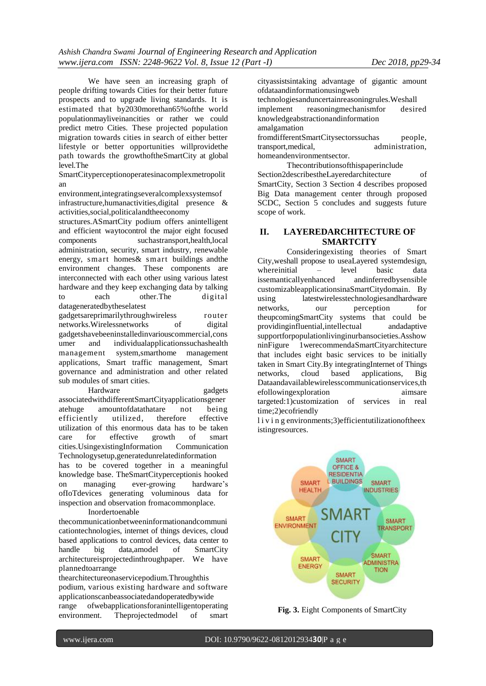We have seen an increasing graph of people drifting towards Cities for their better future prospects and to upgrade living standards. It is estimated that by2030morethan65%ofthe world populationmayliveinancities or rather we could predict metro Cities. These projected population migration towards cities in search of either better lifestyle or better opportunities willprovidethe path towards the growthoftheSmartCity at global level.The

SmartCityperceptionoperatesinacomplexmetropolit an

environment,integratingseveralcomplexsystemsof infrastructure,humanactivities,digital presence & activities,social,politicalandtheeconomy

structures.ASmartCity podium offers anintelligent and efficient waytocontrol the major eight focused components suchastransport,health,local administration, security, smart industry, renewable energy, smart homes& smart buildings andthe environment changes. These components are interconnected with each other using various latest hardware and they keep exchanging data by talking to each other.The digital datageneratedbytheselatest

gadgetsareprimarilythroughwireless router networks.Wirelessnetworks of digital gadgetshavebeeninstalledinvariouscommercial,cons umer and individualapplicationssuchashealth management system,smarthome management applications, Smart traffic management, Smart governance and administration and other related sub modules of smart cities.

Hardware gadgets associatedwithdifferentSmartCityapplicationsgener atehuge amountofdatathatare not being efficiently utilized, therefore effective utilization of this enormous data has to be taken care for effective growth of smart cities.UsingexistingInformation Communication Technologysetup,generatedunrelatedinformation has to be covered together in a meaningful knowledge base. TheSmartCityperceptionis hooked on managing ever-growing hardware's ofIoTdevices generating voluminous data for inspection and observation fromacommonplace. Inordertoenable

thecommunicationbetweeninformationandcommuni cationtechnologies, internet of things devices, cloud based applications to control devices, data center to handle big data,amodel of SmartCity architectureisprojectedinthroughpaper. We have plannedtoarrange

thearchitectureonaservicepodium.Throughthis podium, various existing hardware and software applicationscanbeassociatedandoperatedbywide range ofwebapplicationsforanintelligentoperating environment. Theprojectedmodel of smart cityassistsintaking advantage of gigantic amount ofdataandinformationusingweb technologiesanduncertainreasoningrules.Weshall implement reasoningmechanismfor desired knowledgeabstractionandinformation amalgamation fromdifferentSmartCitysectorssuchas people,

transport,medical, administration, homeandenvironmentsector.

Thecontributionsofthispaperinclude Section2describestheLayeredarchitecture of SmartCity, Section 3 Section 4 describes proposed Big Data management center through proposed SCDC, Section 5 concludes and suggests future scope of work.

## **II. LAYEREDARCHITECTURE OF SMARTCITY**

Consideringexisting theories of Smart City,weshall propose to useaLayered systemdesign, whereinitial – level basic data issemanticallyenhanced andinferredbysensible customizableapplicationsinaSmartCitydomain. By using latestwirelesstechnologiesandhardware networks, our perception for theupcomingSmartCity systems that could be providinginfluential,intellectual andadaptive supportforpopulationlivinginurbansocieties.Asshow ninFigure 1werecommendaSmartCityarchitecture that includes eight basic services to be initially taken in Smart City.By integratingInternet of Things networks, cloud based applications, Big Dataandavailablewirelesscommunicationservices,th efollowingexploration aimsare targeted:1)customization of services in real time;2)ecofriendly

l i v i n g environments; 3) efficientutilization of the existingresources.



**Fig. 3.** Eight Components of SmartCity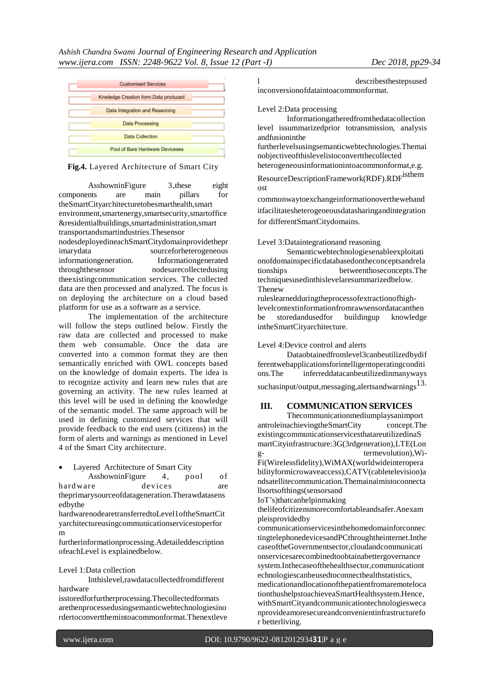

## **Fig.4.** Layered Architecture of Smart City

AsshowninFigure 3,these eight components are main pillars for theSmartCityarchitecturetobesmarthealth,smart environment,smartenergy,smartsecurity,smartoffice &residentialbuildings,smartadministration,smart transportandsmartindustries.Thesensor

nodesdeployedineachSmartCitydomainprovidethepr imarydata sourceforheterogeneous informationgeneration. Informationgenerated throughthesensor nodesarecollectedusing theexistingcommunication services. The collected data are then processed and analyzed. The focus is on deploying the architecture on a cloud based platform for use as a software as a service.

The implementation of the architecture will follow the steps outlined below. Firstly the raw data are collected and processed to make them web consumable. Once the data are converted into a common format they are then semantically enriched with OWL concepts based on the knowledge of domain experts. The idea is to recognize activity and learn new rules that are governing an activity. The new rules learned at this level will be used in defining the knowledge of the semantic model. The same approach will be used in defining customized services that will provide feedback to the end users (citizens) in the form of alerts and warnings as mentioned in Level 4 of the Smart City architecture.

Layered Architecture of Smart City

AsshowninFigure 4, pool of hard ware devices are

theprimarysourceofdatageneration.Therawdatasens edbythe

hardwarenodearetransferredtoLevel1oftheSmartCit yarchitectureusingcommunicationservicestoperfor m

furtherinformationprocessing.Adetaileddescription ofeachLevel is explainedbelow.

## Level 1:Data collection

Inthislevel,rawdatacollectedfromdifferent hardware

isstoredforfurtherprocessing.Thecollectedformats arethenprocessedusingsemanticwebtechnologiesino rdertoconvertthemintoacommonformat.Thenextleve l describesthestepsused inconversionofdataintoacommonformat.

Level 2:Data processing

Informationgatheredfromthedatacollection level issummarizedprior totransmission, analysis andfusioninthe

furtherlevelsusingsemanticwebtechnologies.Themai nobjectiveofthislevelistoconvertthecollected heterogeneousinformationintoacommonformat,e.g.

ResourceDescriptionFramework(RDF).RDF<sup>isthem</sup> ost

commonwaytoexchangeinformationovertheweband itfacilitatesheterogeneousdatasharingandintegration for differentSmartCitydomains.

Level 3:Dataintegrationand reasoning

Semanticwebtechnologiesenableexploitati onofdomainspecificdatabasedontheconceptsandrela tionships betweenthoseconcepts.The techniquesusedinthislevelaresummarizedbelow. Thenew

ruleslearnedduringtheprocessofextractionofhighlevelcontextinformationfromrawsensordatacanthen be storedandusedfor buildingup knowledge intheSmartCityarchitecture.

## Level 4:Device control and alerts

Dataobtainedfromlevel3canbeutilizedbydif ferentwebapplicationsforintelligentoperatingconditi ons.The inferreddatacanbeutilizedinmanyways suchasinput/output, messaging, alertsandwarnings<sup>13.</sup>

# **III. COMMUNICATION SERVICES**

Thecommunicationmediumplaysanimport antroleinachievingtheSmartCity concept.The existingcommunicationservicesthatareutilizedinaS martCityinfrastructure:3G(3rdgeneration),LTE(Lon g- termevolution),Wi-Fi(Wirelessfidelity),WiMAX(worldwideinteropera bilityformicrowaveaccess),CATV(cabletelevision)a ndsatellitecommunication.Themainaimistoconnecta llsortsofthings(sensorsand

IoT's)thatcanhelpinmaking

thelifeofcitizensmorecomfortableandsafer.Anexam pleisprovidedby

communicationservicesinthehomedomainforconnec tingtelephonedevicesandPCthroughtheinternet.Inthe caseoftheGovernmentsector,cloudandcommunicati onservicesarecombinedtoobtainabettergovernance system.Inthecaseofthehealthsector,communicationt echnologiescanbeusedtoconnecthealthstatistics, medicationandlocationofthepatientfromaremoteloca tionthushelpstoachieveaSmartHealthsystem.Hence, withSmartCityandcommunicationtechnologiesweca nprovideamoresecureandconvenientinfrastructurefo r betterliving.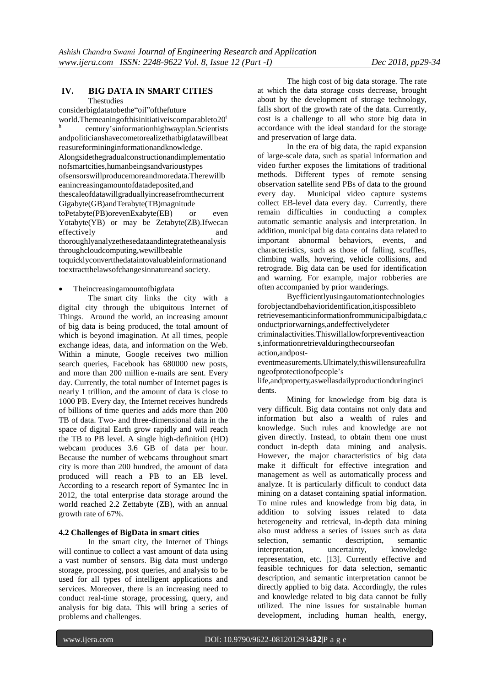## **IV. BIG DATA IN SMART CITIES**

## Thestudies

considerbigdatatobethe"oil"ofthefuture world.Themeaningofthisinitiativeiscomparableto $20<sup>t</sup>$ h century'sinformationhighwayplan.Scientists andpoliticianshavecometorealizethatbigdatawillbeat reasureformininginformationandknowledge. Alongsidethegradualconstructionandimplementatio nofsmartcities,humanbeingsandvarioustypes ofsensorswillproducemoreandmoredata.Therewillb eanincreasingamountofdatadeposited,and thescaleofdatawillgraduallyincreasefromthecurrent Gigabyte(GB)andTerabyte(TB)magnitude toPetabyte(PB)orevenExabyte(EB) or even Yotabyte(YB) or may be Zetabyte(ZB).Ifwecan effectively and thoroughlyanalyzethesedataandintegratetheanalysis throughcloudcomputing,wewillbeable toquicklyconvertthedataintovaluableinformationand toextractthelawsofchangesinnatureand society.

#### Theincreasingamountofbigdata

The smart city links the city with a digital city through the ubiquitous Internet of Things. Around the world, an increasing amount of big data is being produced, the total amount of which is beyond imagination. At all times, people exchange ideas, data, and information on the Web. Within a minute, Google receives two million search queries, Facebook has 680000 new posts, and more than 200 million e-mails are sent. Every day. Currently, the total number of Internet pages is nearly 1 trillion, and the amount of data is close to 1000 PB. Every day, the Internet receives hundreds of billions of time queries and adds more than 200 TB of data. Two- and three-dimensional data in the space of digital Earth grow rapidly and will reach the TB to PB level. A single high-definition (HD) webcam produces 3.6 GB of data per hour. Because the number of webcams throughout smart city is more than 200 hundred, the amount of data produced will reach a PB to an EB level. According to a research report of Symantec Inc in 2012, the total enterprise data storage around the world reached 2.2 Zettabyte (ZB), with an annual growth rate of 67%.

## **4.2 Challenges of BigData in smart cities**

In the smart city, the Internet of Things will continue to collect a vast amount of data using a vast number of sensors. Big data must undergo storage, processing, post queries, and analysis to be used for all types of intelligent applications and services. Moreover, there is an increasing need to conduct real-time storage, processing, query, and analysis for big data. This will bring a series of problems and challenges.

The high cost of big data storage. The rate at which the data storage costs decrease, brought about by the development of storage technology, falls short of the growth rate of the data. Currently, cost is a challenge to all who store big data in accordance with the ideal standard for the storage and preservation of large data.

In the era of big data, the rapid expansion of large-scale data, such as spatial information and video further exposes the limitations of traditional methods. Different types of remote sensing observation satellite send PBs of data to the ground every day. Municipal video capture systems collect EB-level data every day. Currently, there remain difficulties in conducting a complex automatic semantic analysis and interpretation. In addition, municipal big data contains data related to important abnormal behaviors, events, and characteristics, such as those of falling, scuffles, climbing walls, hovering, vehicle collisions, and retrograde. Big data can be used for identification and warning. For example, major robberies are often accompanied by prior wanderings.

Byefficientlyusingautomationtechnologies forobjectandbehavioridentification,itispossibleto retrievesemanticinformationfrommunicipalbigdata,c onductpriorwarnings,andeffectivelydeter criminalactivities.Thiswillallowforpreventiveaction s,informationretrievalduringthecourseofan action,andposteventmeasurements.Ultimately,thiswillensureafullra

ngeofprotectionofpeople's

life,andproperty,aswellasdailyproductionduringinci dents.

Mining for knowledge from big data is very difficult. Big data contains not only data and information but also a wealth of rules and knowledge. Such rules and knowledge are not given directly. Instead, to obtain them one must conduct in-depth data mining and analysis. However, the major characteristics of big data make it difficult for effective integration and management as well as automatically process and analyze. It is particularly difficult to conduct data mining on a dataset containing spatial information. To mine rules and knowledge from big data, in addition to solving issues related to data heterogeneity and retrieval, in-depth data mining also must address a series of issues such as data selection, semantic description, semantic interpretation, uncertainty, knowledge representation, etc. [13]. Currently effective and feasible techniques for data selection, semantic description, and semantic interpretation cannot be directly applied to big data. Accordingly, the rules and knowledge related to big data cannot be fully utilized. The nine issues for sustainable human development, including human health, energy,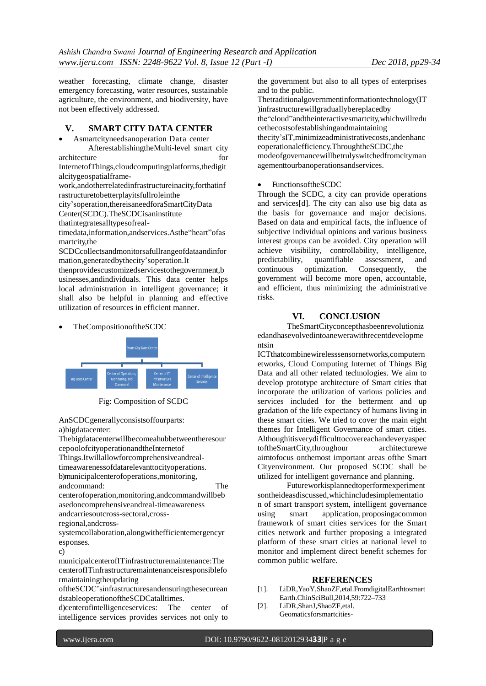weather forecasting, climate change, disaster emergency forecasting, water resources, sustainable agriculture, the environment, and biodiversity, have not been effectively addressed.

## **V. SMART CITY DATA CENTER**

 Asmartcityneedsanoperation Data center AfterestablishingtheMulti-level smart city architecture for  $\sim$ 

InternetofThings,cloudcomputingplatforms,thedigit alcitygeospatialframe-

work,andotherrelatedinfrastructureinacity,forthatinf rastructuretobetterplayitsfullroleinthe

city'soperation,thereisaneedforaSmartCityData

Center(SCDC).TheSCDCisaninstitute

thatintegratesalltypesofreal-

timedata,information,andservices.Asthe"heart"ofas martcity,the

SCDCcollectsandmonitorsafullrangeofdataandinfor mation,generatedbythecity'soperation.It

thenprovidescustomizedservicestothegovernment,b usinesses,andindividuals. This data center helps local administration in intelligent governance; it shall also be helpful in planning and effective utilization of resources in efficient manner.





Fig: Composition of SCDC

AnSCDCgenerallyconsistsoffourparts: a)bigdatacenter:

Thebigdatacenterwillbecomeahubbetweentheresour cepoolofcityoperationandtheInternetof Things.Itwillallowforcomprehensiveandrealtimeawarenessofdatarelevanttocityoperations. b)municipalcenterofoperations,monitoring, andcommand: The centerofoperation,monitoring,andcommandwillbeb asedoncomprehensiveandreal-timeawareness andcarriesoutcross-sectoral,crossregional,andcross-

systemcollaboration,alongwithefficientemergencyr esponses.

c)

municipalcenterofITinfrastructuremaintenance:The centerofITinfrastructuremaintenanceisresponsiblefo rmaintainingtheupdating

oftheSCDC'sinfrastructuresandensuringthesecurean dstableoperationoftheSCDCatalltimes.

d)centerofintelligenceservices: The center of intelligence services provides services not only to

the government but also to all types of enterprises and to the public.

Thetraditionalgovernmentinformationtechnology(IT )infrastructurewillgraduallybereplacedby the"cloud"andtheinteractivesmartcity,whichwillredu cethecostsofestablishingandmaintaining thecity'sIT,minimizeadministrativecosts,andenhanc eoperationalefficiency.ThroughtheSCDC,the modeofgovernancewillbetrulyswitchedfromcityman agementtourbanoperationsandservices.

## FunctionsoftheSCDC

Through the SCDC, a city can provide operations and services[d]. The city can also use big data as the basis for governance and major decisions. Based on data and empirical facts, the influence of subjective individual opinions and various business interest groups can be avoided. City operation will achieve visibility, controllability, intelligence, predictability, quantifiable assessment, and continuous optimization. Consequently, the government will become more open, accountable, and efficient, thus minimizing the administrative risks.

# **VI. CONCLUSION**

TheSmartCityconcepthasbeenrevolutioniz edandhasevolvedintoanewerawithrecentdevelopme ntsin

ICTthatcombinewirelesssensornetworks,computern etworks, Cloud Computing Internet of Things Big Data and all other related technologies. We aim to develop prototype architecture of Smart cities that incorporate the utilization of various policies and services included for the betterment and up gradation of the life expectancy of humans living in these smart cities. We tried to cover the main eight themes for Intelligent Governance of smart cities. Althoughitisverydifficulttocovereachandeveryaspec toftheSmartCity,throughour architecturewe aimtofocus onthemost important areas ofthe Smart Cityenvironment. Our proposed SCDC shall be utilized for intelligent governance and planning.

Futureworkisplannedtoperformexperiment sontheideasdiscussed,whichincludesimplementatio n of smart transport system, intelligent governance using smart application, proposingacommon framework of smart cities services for the Smart cities network and further proposing a integrated platform of these smart cities at national level to monitor and implement direct benefit schemes for common public welfare.

## **REFERENCES**

- [1]. LiDR,YaoY,ShaoZF,etal.FromdigitalEarthtosmart Earth.ChinSciBull,2014,59:722–733
- [2]. LiDR,ShanJ,ShaoZF,etal. Geomaticsforsmartcities-